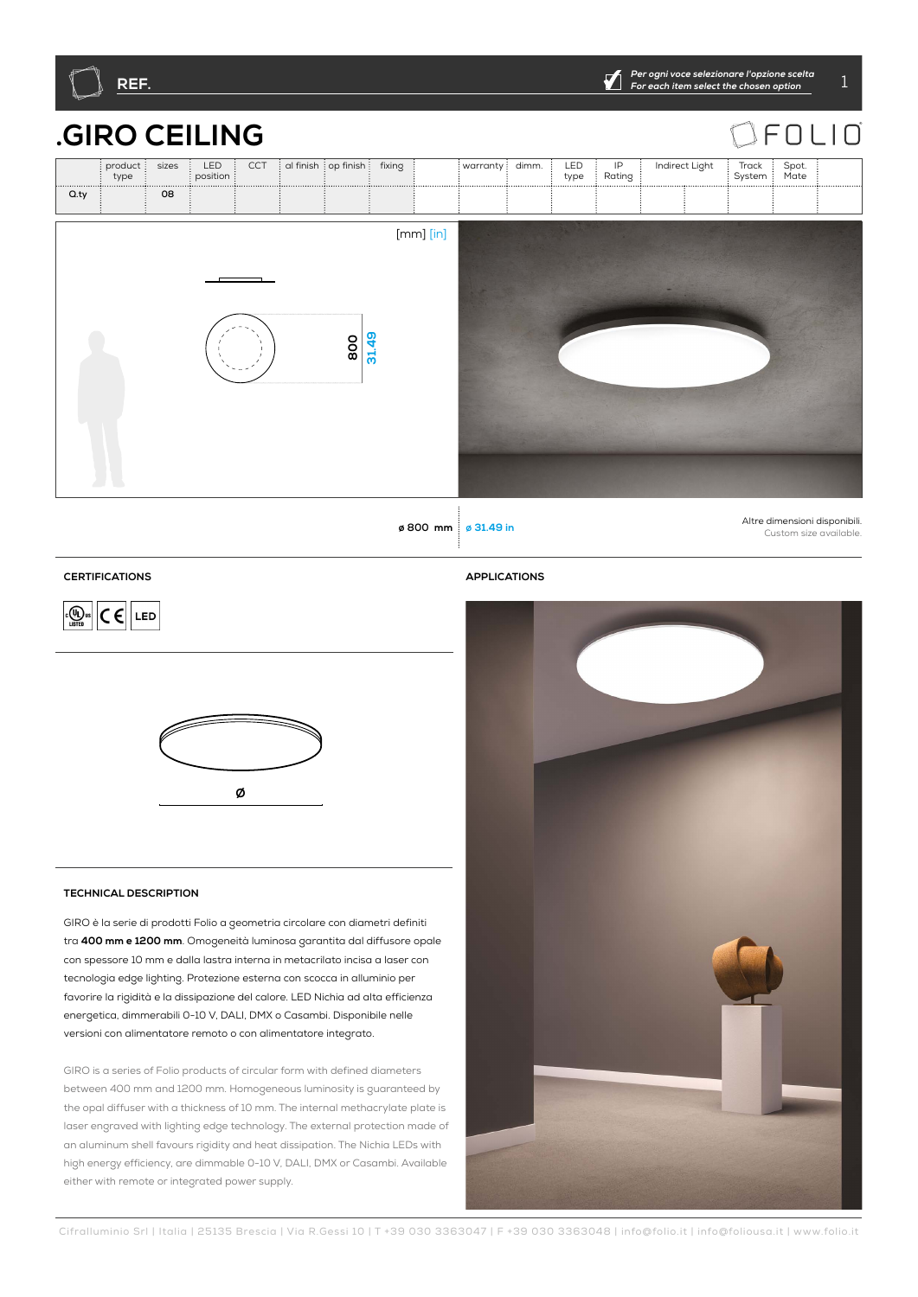

**Q.ty 08**

# **.GIRO CEILING**

|                         | <b>RO CEILING</b> |                 |     |  |                                |  |               |                  |  |             |              |                |                 |               | $\supset$ FOLIC |
|-------------------------|-------------------|-----------------|-----|--|--------------------------------|--|---------------|------------------|--|-------------|--------------|----------------|-----------------|---------------|-----------------|
| $:$ product $:$<br>type | sizes             | LED<br>position | CCT |  | al finish : op finish : fixing |  |               | warranty : dimm. |  | LED<br>type | IP<br>Rating | Indirect Light | Track<br>System | Spot.<br>Mate |                 |
|                         | 08                |                 |     |  |                                |  |               |                  |  |             |              |                |                 |               |                 |
|                         |                   |                 |     |  | 31.49<br>800                   |  | $[mm]$ $[in]$ |                  |  |             |              |                |                 |               |                 |

**ø 800 mm <sup>ø</sup> 31.49 in** Altre dimensioni disponibili. Custom size available.

## **CERTIFICATIONS APPLICATIONS**

 $\boxed{C \in \left[\frac{1}{\sqrt{2}}\right]}$   $C \in \left[\frac{1}{\sqrt{2}}\right]$  LED



## **TECHNICAL DESCRIPTION**

GIRO è la serie di prodotti Folio a geometria circolare con diametri definiti tra **400 mm e 1200 mm**. Omogeneità luminosa garantita dal diffusore opale con spessore 10 mm e dalla lastra interna in metacrilato incisa a laser con tecnologia edge lighting. Protezione esterna con scocca in alluminio per favorire la rigidità e la dissipazione del calore. LED Nichia ad alta efficienza energetica, dimmerabili 0-10 V, DALI, DMX o Casambi. Disponibile nelle versioni con alimentatore remoto o con alimentatore integrato.

GIRO is a series of Folio products of circular form with defined diameters between 400 mm and 1200 mm. Homogeneous luminosity is guaranteed by the opal diffuser with a thickness of 10 mm. The internal methacrylate plate is laser engraved with lighting edge technology. The external protection made of an aluminum shell favours rigidity and heat dissipation. The Nichia LEDs with high energy efficiency, are dimmable 0-10 V, DALI, DMX or Casambi. Available either with remote or integrated power supply.

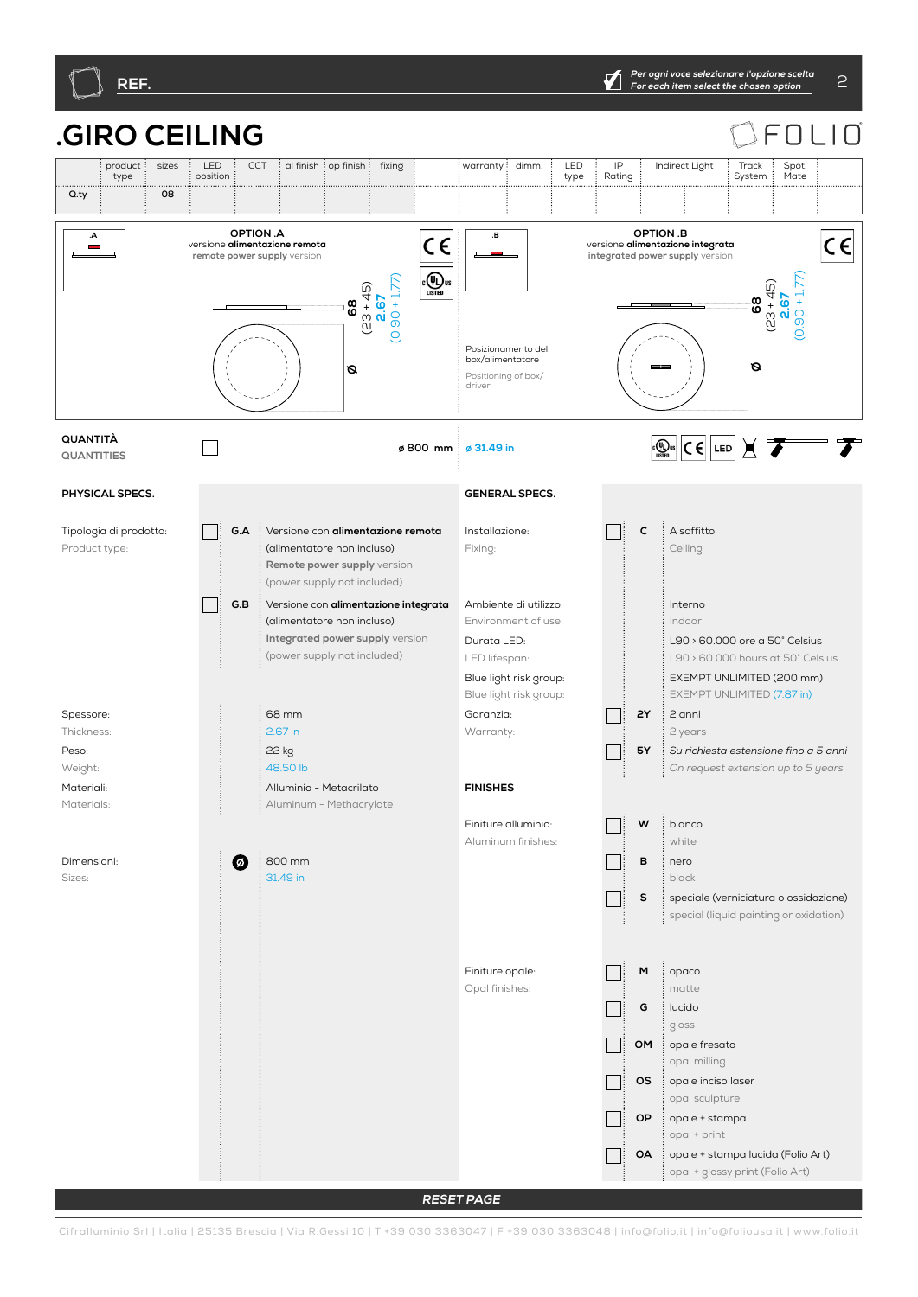

#### **.GIRO CEILING**  $\bigcap$  $\Box$ ⊏ product sizes : LED  $\overline{\text{CCT}}$  al finish  $\overline{\text{ion}}$  finish  $\overline{\text{ion}}$  fixing  $\overline{\text{ion}}$  warranty  $\overline{\text{olmm}}$   $\overline{\text{olmm}}$  . IP Indirect Light Track Spot. type position type Rating System Mate **Q.ty**  $\vdots$  08 **G.A G.BP2P1 TWRQ3040352757 WBS OMOAOPOSMG C 2Y5Y 010 DMDACA ONV 4065DL SMBASE TINY45 TINY STK TS SA RQ3040352757 TWRQ304057R OPTION .A OPTION .B**   $\overline{A}$  $\overline{\mathbf{B}}$  $C \in$  $C \in$ versione **alimentazione remota remote power supply** version versione **alimentazione integrata integrated power supply** version  $\overline{\text{C}}$   $\overline{\text{U}}$ <sub>us</sub>  $(0.90 + 1.77)$  $(0.90 + 1.77)$  $90 + 1.77$ (23 + 45) (23 + 45) **2.67 2.67** 68 **68 68** Posizionamento del box/alimentatore **ØØ** Positioning of box/ driver **QUANTITÀ**  $\boxed{C \oplus \text{tr} \cup C \cup C}$   $\boxed{LED}$   $\boxed{C}$ **QUANTITIES ø 800 mm <sup>ø</sup> 31.49 in PHYSICAL SPECS. GENERAL SPECS. G.A** Versione con **alimentazione remota C** A soffitto Tipologia di prodotto: Installazione: Product type: (alimentatore non incluso) Fixing: Ceiling **Remote power supply** version (power supply not included) Пi **G.B** Versione con **alimentazione integrata** Ambiente di utilizzo: Interno (alimentatore non incluso) Environment of use: Indoor **Integrated power supply** version L90 > 60.000 ore a 50° Celsius Durata LED: (power supply not included) LED lifespan: L90 > 60.000 hours at 50° Celsius Blue light risk group: EXEMPT UNLIMITED (200 mm) Blue light risk group: EXEMPT UNLIMITED (7.87 in) 68 mm **2Y** 2 anni Spessore: Garanzia:  $\blacksquare$ Thickness: 2.67 in Warranty: 2 years Peso: 22 kg **5Y** *Su richiesta estensione fino a 5 anni* Weight: 48.50 lb *On request extension up to 5 years* **FINISHES** Materiali: Alluminio - Metacrilato Materials: Aluminum - Methacrylate  $W \stackrel{\text{if}}{\longrightarrow}$ Finiture alluminio: white Aluminum finishes:  $\boldsymbol{O}$ 800 mm **B** nero Dimensioni: 31.49 in black Sizes: **S** speciale (verniciatura o ossidazione) special (liquid painting or oxidation) Finiture opale: **M** opaco Opal finishes: matte **G** lucido gloss **OM** : opale fresato opal milling **OS** opale inciso laser opal sculpture **OP** : opale + stampa opal + print **OA** opale + stampa lucida (Folio Art) opal + glossy print (Folio Art)

**RESET PAGE**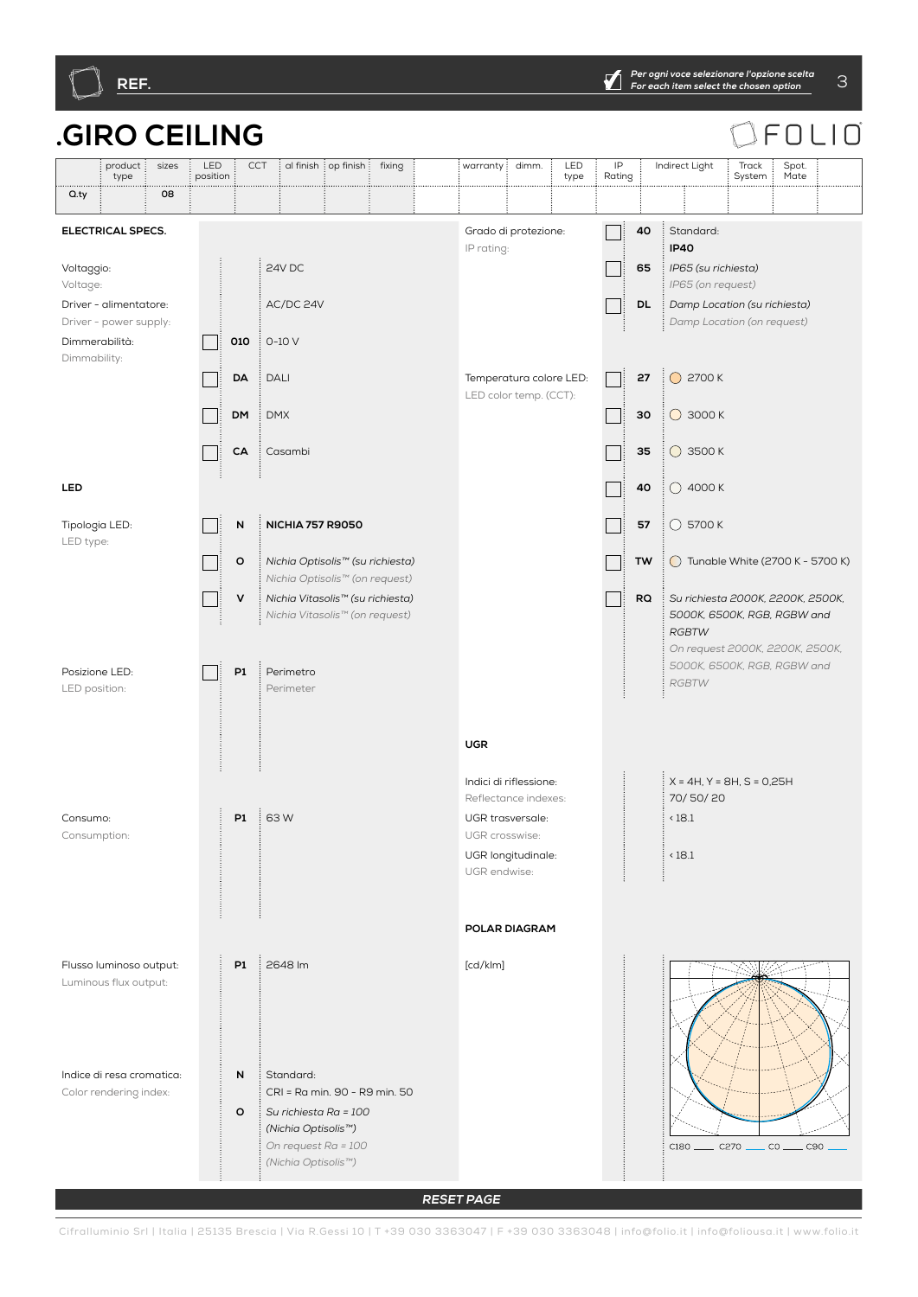

#### **.GIRO CEILING** FOL  $\Box$ l $\Box$ product sizes : LED CCT di finish op finish fixing warranty dimm. LED IP Indirect Light Track Spot. type position type Rating System Mate **Q.ty example 1** 08 **G.A G.BP2P1 TWRQ3040352757 WBS OMOAOPOSMG C 2Y5Y 010 DMDACA ONV 4065DL SMBASE TINY45 TINY STK TS SA RQ3040352757 TWRQ304057R ELECTRICAL SPECS.** Grado di protezione: **40** Standard:  $\Box$ IP rating: **IP40** 24V DC Voltaggio: **65** *IP65 (su richiesta)* Voltage: *IP65 (on request)* AC/DC 24V Driver - alimentatore: **DL** *Damp Location (su richiesta)* Driver - power supply: *Damp Location (on request)* Dimmerabilità: **010**  $\cdot$  0-10 V **Tara** Dimmability: **27**  $\bigcirc$  2700 K **DA** DALI Temperatura colore LED: Пi LED color temp. (CCT): **DM** DMX **30 ○** 3000 K  $\Box$ **35 ○** 3500 K **CA** Casambi  $\mathbf{I}$ **LED 40**  $\bigcirc$  4000 K **N NICHIA 757 R9050 57**  $\vdots$  5700 K Tipologia LED:  $\mathbf{I}$ LED type: **O** *Nichia Optisolis™ (su richiesta)*  **TW**  $\bigcirc$  Tunable White (2700 K - 5700 K) *Nichia Optisolis™ (on request)* **V** *Nichia Vitasolis™ (su richiesta)* **RQ** *Su richiesta 2000K, 2200K, 2500K,*   $\Box$ *Nichia Vitasolis™ (on request) 5000K, 6500K, RGB, RGBW and RGBTW On request 2000K, 2200K, 2500K, 5000K, 6500K, RGB, RGBW and*  Posizione LED: **P1** Perimetro  $\Box$ *RGBTW* LED position: Perimeter **UGR** X = 4H, Y = 8H, S = 0,25H Indici di riflessione: 70/ 50/ 20 Reflectance indexes: **P1** 63 W UGR trasversale:  $(18.1)$ Consumo: Consumption: UGR crosswise: UGR longitudinale: < 18.1 UGR endwise: **POLAR DIAGRAM P1** 2648 lm [cd/klm] Flusso luminoso output: Luminous flux output: **N** Standard: Indice di resa cromatica: CRI = Ra min. 90 - R9 min. 50 Color rendering index: **O** *Su richiesta Ra = 100 (Nichia Optisolis™) On request Ra = 100*   $C180$  \_\_\_\_\_\_  $C270$  .  $\overline{\phantom{a}}$  co  $\overline{\phantom{a}}$  $\overline{\phantom{0}}$  C90 *(Nichia Optisolis™)*

**RESET PAGE**

Cifralluminio Srl | Italia | 25135 Brescia | Via R.Gessi 10 | T +39 030 3363047 | F +39 030 3363048 | info@folio.it | info@foliousa.it | www.folio.it